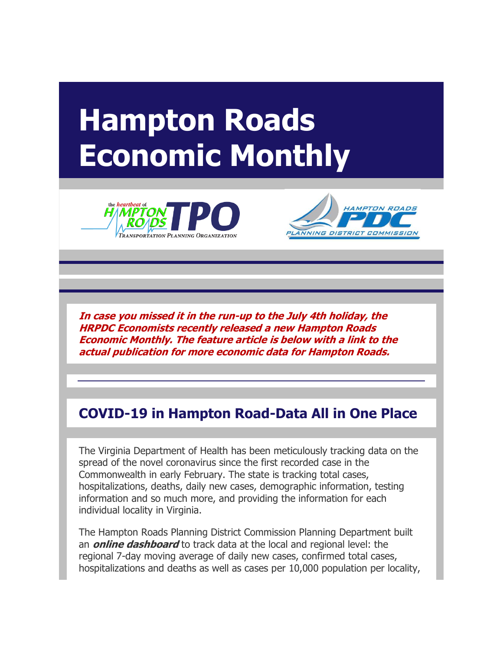## **Hampton Roads Economic Monthly**





**In case you missed it in the run-up to the July 4th holiday, the HRPDC Economists recently released a new Hampton Roads Economic Monthly. The feature article is below with a link to the actual publication for more economic data for Hampton Roads.**

## **COVID-19 in Hampton Road-Data All in One Place**

The Virginia Department of Health has been meticulously tracking data on the spread of the novel coronavirus since the first recorded case in the Commonwealth in early February. The state is tracking total cases, hospitalizations, deaths, daily new cases, demographic information, testing information and so much more, and providing the information for each individual locality in Virginia.

The Hampton Roads Planning District Commission Planning Department built an **[online dashboard](http://r20.rs6.net/tn.jsp?f=001z2iXlhMC_FVXtMp7HuZEoIDfvsdmeIvf4xyIRXVvADpjujQfePzjOaTDzwVZ_wlU0ndssLgviDN8AaMqkA8sZYQWkLwNuVy1AcZdgsExl2yzJsWY0hO033ut40Mo2jEhcRn7Dj-htIR3cPSlu8k99baAJfIMnIz-ZAMCouLqfMM=&c=E8CdnNO3ZkdE0TC6no-Ma1jgGtj_NqmL39PebwXDc5mSPO5D09MlmA==&ch=a1_T7TXOQe5Kl-CfC_WBy2oNW0UOWScQkdAAxp9T53pb_hCNNYPVqQ==)** to track data at the local and regional level: the regional 7-day moving average of daily new cases, confirmed total cases, hospitalizations and deaths as well as cases per 10,000 population per locality,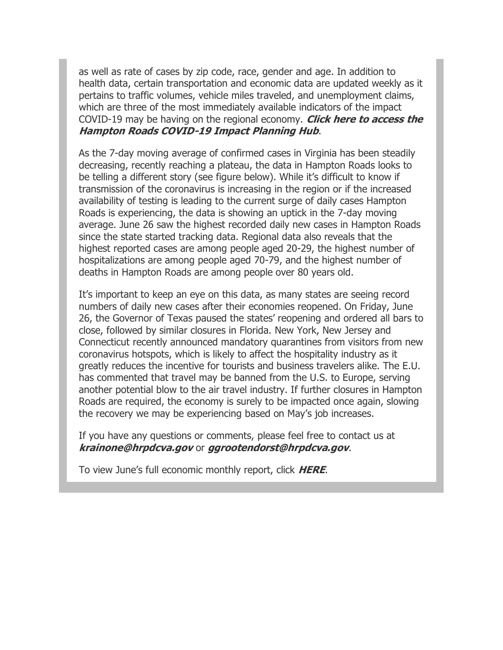as well as rate of cases by zip code, race, gender and age. In addition to health data, certain transportation and economic data are updated weekly as it pertains to traffic volumes, vehicle miles traveled, and unemployment claims, which are three of the most immediately available indicators of the impact COVID-19 may be having on the regional economy. **[Click here to access the](http://r20.rs6.net/tn.jsp?f=001z2iXlhMC_FVXtMp7HuZEoIDfvsdmeIvf4xyIRXVvADpjujQfePzjOaTDzwVZ_wlU0ndssLgviDN8AaMqkA8sZYQWkLwNuVy1AcZdgsExl2yzJsWY0hO033ut40Mo2jEhcRn7Dj-htIR3cPSlu8k99baAJfIMnIz-ZAMCouLqfMM=&c=E8CdnNO3ZkdE0TC6no-Ma1jgGtj_NqmL39PebwXDc5mSPO5D09MlmA==&ch=a1_T7TXOQe5Kl-CfC_WBy2oNW0UOWScQkdAAxp9T53pb_hCNNYPVqQ==)  [Hampton Roads COVID-19 Impact Planning Hub](http://r20.rs6.net/tn.jsp?f=001z2iXlhMC_FVXtMp7HuZEoIDfvsdmeIvf4xyIRXVvADpjujQfePzjOaTDzwVZ_wlU0ndssLgviDN8AaMqkA8sZYQWkLwNuVy1AcZdgsExl2yzJsWY0hO033ut40Mo2jEhcRn7Dj-htIR3cPSlu8k99baAJfIMnIz-ZAMCouLqfMM=&c=E8CdnNO3ZkdE0TC6no-Ma1jgGtj_NqmL39PebwXDc5mSPO5D09MlmA==&ch=a1_T7TXOQe5Kl-CfC_WBy2oNW0UOWScQkdAAxp9T53pb_hCNNYPVqQ==)**.

As the 7-day moving average of confirmed cases in Virginia has been steadily decreasing, recently reaching a plateau, the data in Hampton Roads looks to be telling a different story (see figure below). While it's difficult to know if transmission of the coronavirus is increasing in the region or if the increased availability of testing is leading to the current surge of daily cases Hampton Roads is experiencing, the data is showing an uptick in the 7-day moving average. June 26 saw the highest recorded daily new cases in Hampton Roads since the state started tracking data. Regional data also reveals that the highest reported cases are among people aged 20-29, the highest number of hospitalizations are among people aged 70-79, and the highest number of deaths in Hampton Roads are among people over 80 years old.

It's important to keep an eye on this data, as many states are seeing record numbers of daily new cases after their economies reopened. On Friday, June 26, the Governor of Texas paused the states' reopening and ordered all bars to close, followed by similar closures in Florida. New York, New Jersey and Connecticut recently announced mandatory quarantines from visitors from new coronavirus hotspots, which is likely to affect the hospitality industry as it greatly reduces the incentive for tourists and business travelers alike. The E.U. has commented that travel may be banned from the U.S. to Europe, serving another potential blow to the air travel industry. If further closures in Hampton Roads are required, the economy is surely to be impacted once again, slowing the recovery we may be experiencing based on May's job increases.

If you have any questions or comments, please feel free to contact us at **[krainone@hrpdcva.gov](mailto:krainone@hrpdcva.gov)** or **[ggrootendorst@hrpdcva.gov](mailto:ggrootendorst@hrpdcva.gov)**.

To view June's full economic monthly report, click **[HERE](http://r20.rs6.net/tn.jsp?f=001z2iXlhMC_FVXtMp7HuZEoIDfvsdmeIvf4xyIRXVvADpjujQfePzjOaTDzwVZ_wlUmdCKMKRTKuGxCDciwi42zotggMt5qvNyNdw7AFHPONreFXHfOavxU8zpuFfMxKDsXck-ogwainV4C3pNIKazcOfu9Pz4z9Zns8tV_RdmWrwR1TswQApSrKPaG-qUJL6Db-dsrUqDmjE=&c=E8CdnNO3ZkdE0TC6no-Ma1jgGtj_NqmL39PebwXDc5mSPO5D09MlmA==&ch=a1_T7TXOQe5Kl-CfC_WBy2oNW0UOWScQkdAAxp9T53pb_hCNNYPVqQ==)**.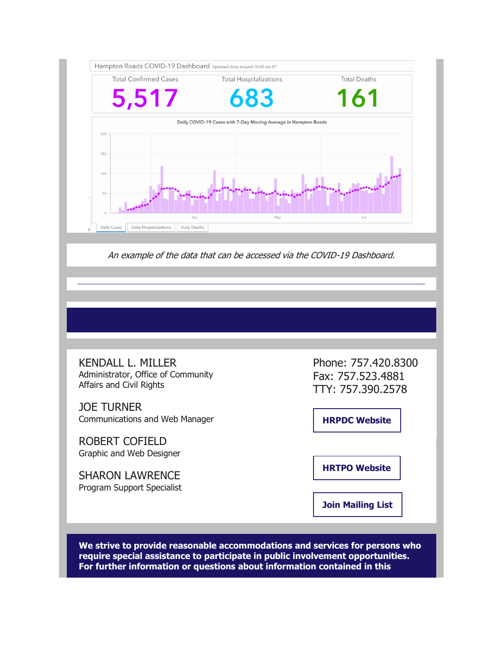

An example of the data that can be accessed via the COVID-19 Dashboard.

KENDALL L. MILLER Administrator, Office of Community Affairs and Civil Rights

JOE TURNER Communications and Web Manager

ROBERT COFIELD Graphic and Web Designer

SHARON LAWRENCE Program Support Specialist Phone: 757.420.8300 Fax: 757.523.4881 TTY: 757.390.2578

**[HRPDC Website](http://r20.rs6.net/tn.jsp?f=001z2iXlhMC_FVXtMp7HuZEoIDfvsdmeIvf4xyIRXVvADpjujQfePzjOWsMcg9_K9kpxBsR4mCwQAF6NnUbpVZRNeSxF4G2NwcGvXrNyhplp1ZqmW4zNyZ3P5Zh2cA4wrhqQ0SHUE_AeM5DGEabd97z7w==&c=E8CdnNO3ZkdE0TC6no-Ma1jgGtj_NqmL39PebwXDc5mSPO5D09MlmA==&ch=a1_T7TXOQe5Kl-CfC_WBy2oNW0UOWScQkdAAxp9T53pb_hCNNYPVqQ==)**

**[HRTPO Website](http://r20.rs6.net/tn.jsp?f=001z2iXlhMC_FVXtMp7HuZEoIDfvsdmeIvf4xyIRXVvADpjujQfePzjOWsMcg9_K9kpABcZNV4K1t0hr208nb3hEzxsNszyXDM5hmUYZfi_OSnuuKw66PiJrw6845ei3HAVgjik7AxwreE=&c=E8CdnNO3ZkdE0TC6no-Ma1jgGtj_NqmL39PebwXDc5mSPO5D09MlmA==&ch=a1_T7TXOQe5Kl-CfC_WBy2oNW0UOWScQkdAAxp9T53pb_hCNNYPVqQ==)**

**[Join Mailing List](http://r20.rs6.net/tn.jsp?f=001z2iXlhMC_FVXtMp7HuZEoIDfvsdmeIvf4xyIRXVvADpjujQfePzjOWsMcg9_K9kpN-gLmRYlydIIdpEQMoFl8XaKP85TqUT8JESTGf920Le__GV60iaBg4xtON88lLLMlBX0uxvg2I-Pf8W89SZMeMTgokecroa_f1qyHPDjU_7MpwV9Z3LselfV-NpkM_qpoRDZRhjfuw55TfHDN5L3HW50cVpN4sO54_mH8MgoC71Dr0Mvh3NGj7oDIXJzcVR6zUPt2Edp5nLyhkvob82Ykx6M6R5IXmtR3g2b6eGc65L6s85castFMVYoRW68UOpo&c=E8CdnNO3ZkdE0TC6no-Ma1jgGtj_NqmL39PebwXDc5mSPO5D09MlmA==&ch=a1_T7TXOQe5Kl-CfC_WBy2oNW0UOWScQkdAAxp9T53pb_hCNNYPVqQ==)**

**We strive to provide reasonable accommodations and services for persons who require special assistance to participate in public involvement opportunities. For further information or questions about information contained in this**